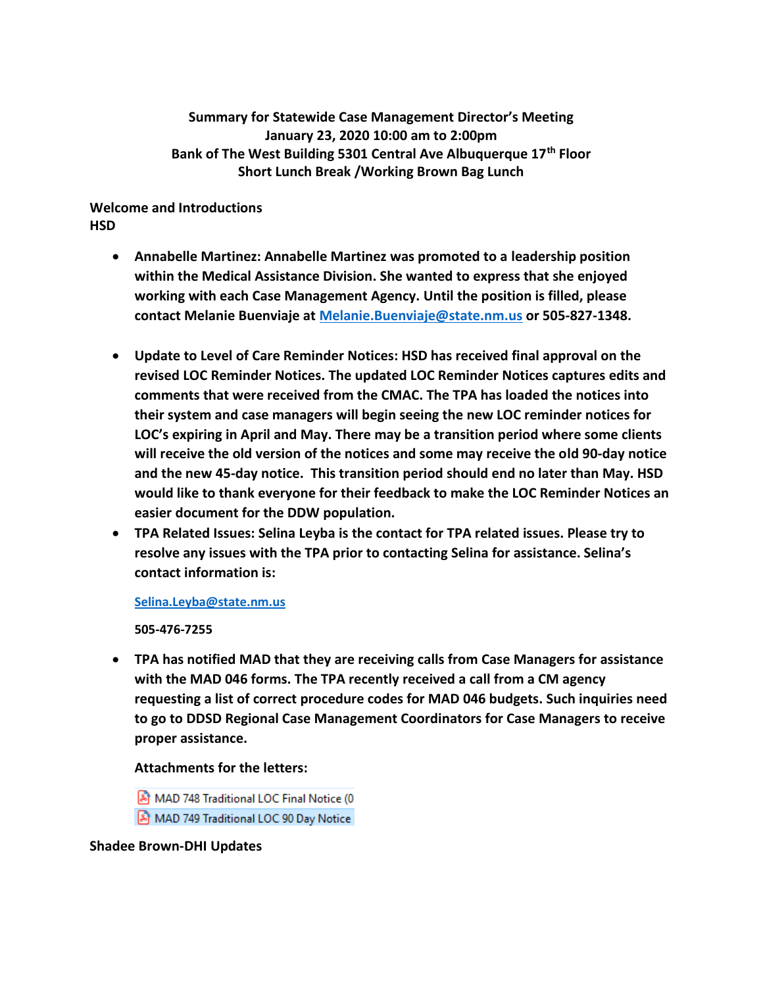**Summary for Statewide Case Management Director's Meeting January 23, 2020 10:00 am to 2:00pm Bank of The West Building 5301 Central Ave Albuquerque 17th Floor Short Lunch Break /Working Brown Bag Lunch**

**Welcome and Introductions HSD** 

- **Annabelle Martinez: Annabelle Martinez was promoted to a leadership position within the Medical Assistance Division. She wanted to express that she enjoyed working with each Case Management Agency. Until the position is filled, please contact Melanie Buenviaje at [Melanie.Buenviaje@state.nm.us](mailto:Melanie.Buenviaje@state.nm.us) or 505-827-1348.**
- **Update to Level of Care Reminder Notices: HSD has received final approval on the revised LOC Reminder Notices. The updated LOC Reminder Notices captures edits and comments that were received from the CMAC. The TPA has loaded the notices into their system and case managers will begin seeing the new LOC reminder notices for LOC's expiring in April and May. There may be a transition period where some clients will receive the old version of the notices and some may receive the old 90-day notice and the new 45-day notice. This transition period should end no later than May. HSD would like to thank everyone for their feedback to make the LOC Reminder Notices an easier document for the DDW population.**
- **TPA Related Issues: Selina Leyba is the contact for TPA related issues. Please try to resolve any issues with the TPA prior to contacting Selina for assistance. Selina's contact information is:**

**[Selina.Leyba@state.nm.us](mailto:Selina.Leyba@state.nm.us)**

**505-476-7255**

• **TPA has notified MAD that they are receiving calls from Case Managers for assistance with the MAD 046 forms. The TPA recently received a call from a CM agency requesting a list of correct procedure codes for MAD 046 budgets. Such inquiries need to go to DDSD Regional Case Management Coordinators for Case Managers to receive proper assistance.** 

**Attachments for the letters:**

MAD 748 Traditional LOC Final Notice (0 MAD 749 Traditional LOC 90 Day Notice

**Shadee Brown-DHI Updates**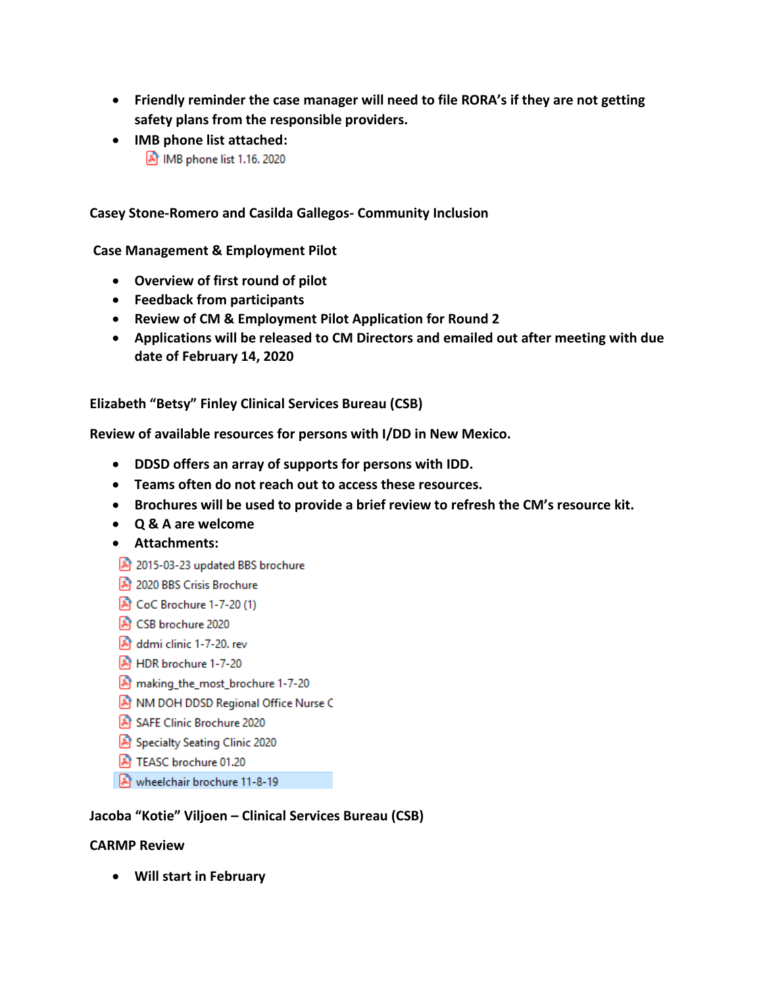- **Friendly reminder the case manager will need to file RORA's if they are not getting safety plans from the responsible providers.**
- **IMB phone list attached:** 8 IMB phone list 1.16. 2020

**Casey Stone-Romero and Casilda Gallegos- Community Inclusion** 

**Case Management & Employment Pilot**

- **Overview of first round of pilot**
- **Feedback from participants**
- **Review of CM & Employment Pilot Application for Round 2**
- **Applications will be released to CM Directors and emailed out after meeting with due date of February 14, 2020**

**Elizabeth "Betsy" Finley Clinical Services Bureau (CSB)** 

**Review of available resources for persons with I/DD in New Mexico.** 

- **DDSD offers an array of supports for persons with IDD.**
- **Teams often do not reach out to access these resources.**
- **Brochures will be used to provide a brief review to refresh the CM's resource kit.**
- **Q & A are welcome**
- **Attachments:**
- 2015-03-23 updated BBS brochure
- 2020 BBS Crisis Brochure
- 20 (1)
- CSB brochure 2020
- ddmi clinic 1-7-20. rev
- A HDR brochure 1-7-20
- making\_the\_most\_brochure 1-7-20
- A NM DOH DDSD Regional Office Nurse C
- SAFE Clinic Brochure 2020
- Specialty Seating Clinic 2020
- F TEASC brochure 01.20
- wheelchair brochure 11-8-19

### **Jacoba "Kotie" Viljoen – Clinical Services Bureau (CSB)**

#### **CARMP Review**

• **Will start in February**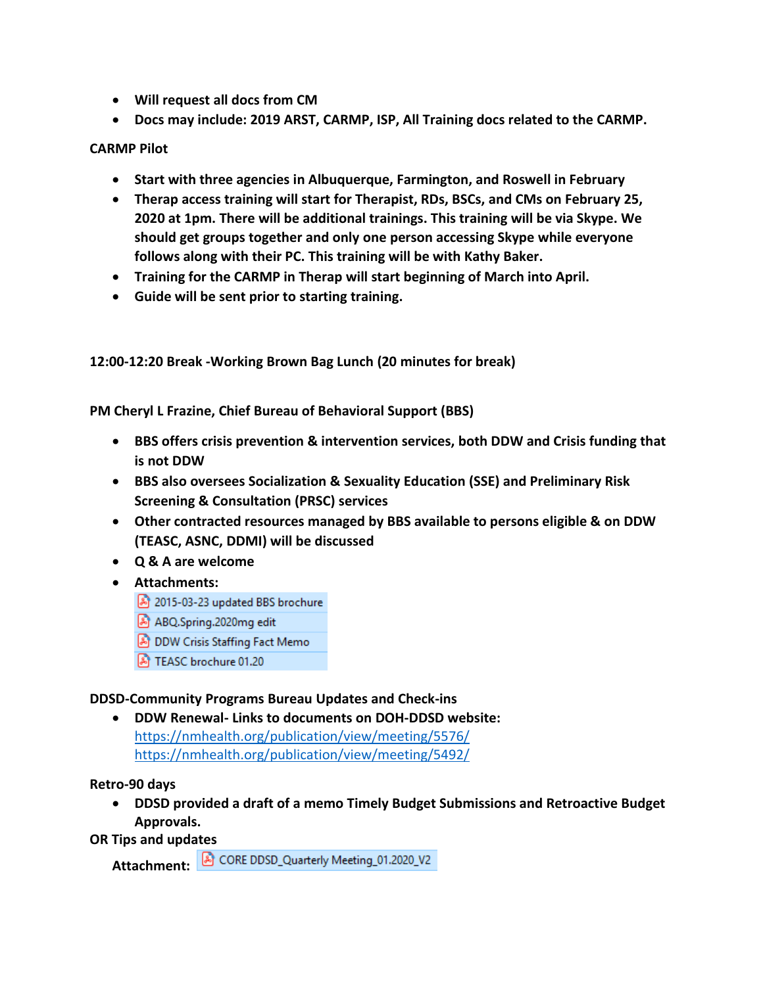- **Will request all docs from CM**
- **Docs may include: 2019 ARST, CARMP, ISP, All Training docs related to the CARMP.**

## **CARMP Pilot**

- **Start with three agencies in Albuquerque, Farmington, and Roswell in February**
- **Therap access training will start for Therapist, RDs, BSCs, and CMs on February 25, 2020 at 1pm. There will be additional trainings. This training will be via Skype. We should get groups together and only one person accessing Skype while everyone follows along with their PC. This training will be with Kathy Baker.**
- **Training for the CARMP in Therap will start beginning of March into April.**
- **Guide will be sent prior to starting training.**

**12:00-12:20 Break -Working Brown Bag Lunch (20 minutes for break)**

**PM Cheryl L Frazine, Chief Bureau of Behavioral Support (BBS)**

- **BBS offers crisis prevention & intervention services, both DDW and Crisis funding that is not DDW**
- **BBS also oversees Socialization & Sexuality Education (SSE) and Preliminary Risk Screening & Consultation (PRSC) services**
- **Other contracted resources managed by BBS available to persons eligible & on DDW (TEASC, ASNC, DDMI) will be discussed**
- **Q & A are welcome**
- **Attachments:** 
	- 2015-03-23 updated BBS brochure
	- ABQ.Spring.2020mg edit
	- DDW Crisis Staffing Fact Memo
	- A TEASC brochure 01.20

### **DDSD-Community Programs Bureau Updates and Check-ins**

• **DDW Renewal- Links to documents on DOH-DDSD website:**  <https://nmhealth.org/publication/view/meeting/5576/> <https://nmhealth.org/publication/view/meeting/5492/>

### **Retro-90 days**

• **DDSD provided a draft of a memo Timely Budget Submissions and Retroactive Budget Approvals.**

# **OR Tips and updates**

Attachment: **A** CORE DDSD\_Quarterly Meeting\_01.2020\_V2